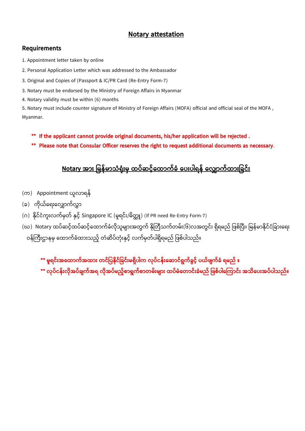## **Notary attestation**

## **Requirements**

1. Appointment letter taken by online

- 2. Personal Application Letter which was addressed to the Ambassador
- 3. Original and Copies of (Passport & IC/PR Card (Re-Entry Form-7)
- 3. Notary must be endorsed by the Ministry of Foreign Affairs in Myanmar
- 4. Notary validity must be within (6) months

5. Notary must include counter signature of Ministry of Foreign Affairs (MOFA) official and official seal of the MOFA , Myanmar.

- **\*\* If the applicant cannot provide original documents, his/her application will be rejected .**
- **\*\* Please note that Consular Officer reserves the right to request additional documents as necessary**.

## **Notary အ ား မြန်ြ သံရံ ားြှ ထပ်ဆင့််ထထ က်ခံ ထပားပါရန် ထ က်ထ ားမခင်ား**

- (က) Appointment ယူလာရန်
- (ခ) ကိုယ်ရေးလျောက်လွှာ
- (ဂ) နိုင်ငံကူးလက်မှတ် နှင့် Singapore IC (မူရင်း/မိတ္တူ) (If PR need Re-Entry Form-7)
- (ဃ) Notary ထပ်ဆင့်ထပ်ဆင့်ထောက်ခံလိုသူများအတွက် နိုတြီသက်တမ်း(၆)လအတွင်း ရှိရမည် ဖြစ်ပြီး၊ မြန်မာနိုင်ငံခြားရေး
- ဝန်ကြီးဌာနမှ ထောက်ခံထားသည့် တံဆိပ်တုံးနှင့် လက်မှတ်ပါရှိရမည် ဖြစ်ပါသည်။
	- **\*\* ြူရင်ားအထထ က်အထ ား တင်မပနှိ င်မခင်ားြရှှိပါက ပ်ငန်ားထဆ င်ရွက်ခွင့်် ပယ ်ဖျက်ခံ ရြည် ။**
	- **\*\* ပ်ငန်ား ှိ အပ်ချက်အရ ှိ အပ်ြည့််စ ရွက်စ တြ်ားြျ ား ထပ်ြံထတ င်ားခံြည် မဖစ်ပါထ က င်ား အသှိထပားအပ်ပါသည်။**